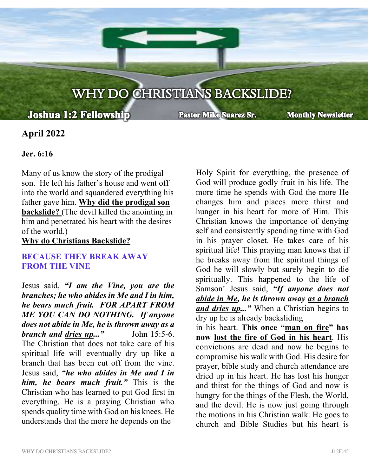# WHY DO CHRISTIANS BACKSLIDE?

į

## **Joshua 1:2 Fellowship**

**Pastor Mike Suarez Sr.** 

**Monthly Newsletter** 

### **April 2022**

#### **Jer. 6:16**

Many of us know the story of the prodigal son. He left his father's house and went off into the world and squandered everything his father gave him. **Why did the prodigal son backslide?** (The devil killed the anointing in him and penetrated his heart with the desires of the world.)

**Why do Christians Backslide?**

#### **BECAUSE THEY BREAK AWAY FROM THE VINE**

Jesus said, *"I am the Vine, you are the branches; he who abides in Me and I in him, he bears much fruit. FOR APART FROM ME YOU CAN DO NOTHING. If anyone does not abide in Me, he is thrown away as a branch and dries up..."* John 15:5-6. The Christian that does not take care of his spiritual life will eventually dry up like a branch that has been cut off from the vine. Jesus said, *"he who abides in Me and I in him, he bears much fruit."* This is the Christian who has learned to put God first in everything. He is a praying Christian who spends quality time with God on his knees. He understands that the more he depends on the

Holy Spirit for everything, the presence of God will produce godly fruit in his life. The more time he spends with God the more He changes him and places more thirst and hunger in his heart for more of Him. This Christian knows the importance of denying self and consistently spending time with God in his prayer closet. He takes care of his spiritual life! This praying man knows that if he breaks away from the spiritual things of God he will slowly but surely begin to die spiritually. This happened to the life of Samson! Jesus said, *"If anyone does not abide in Me, he is thrown away as a branch and dries up..."* When a Christian begins to dry up he is already backsliding

in his heart. **This once "man on fire" has now lost the fire of God in his heart**. His convictions are dead and now he begins to compromise his walk with God. His desire for prayer, bible study and church attendance are dried up in his heart. He has lost his hunger and thirst for the things of God and now is hungry for the things of the Flesh, the World, and the devil. He is now just going through the motions in his Christian walk. He goes to church and Bible Studies but his heart is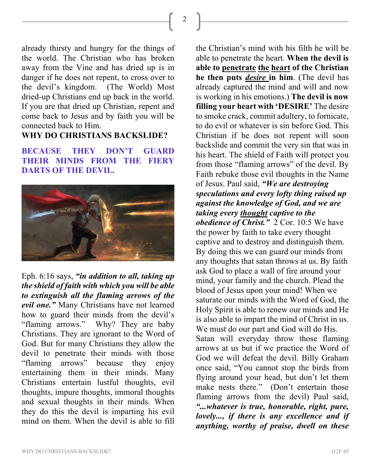2

already thirsty and hungry for the things of the world. The Christian who has broken away from the Vine and has dried up is in danger if he does not repent, to cross over to the devil's kingdom. (The World) Most dried-up Christians end up back in the world. If you are that dried up Christian, repent and come back to Jesus and by faith you will be connected back to Him.

#### **WHY DO CHRISTIANS BACKSLIDE?**

**BECAUSE THEY DON'T GUARD THEIR MINDS FROM THE FIERY DARTS OF THE DEVIL.**



Eph. 6:16 says, *"in addition to all, taking up the shield of faith with which you will be able to extinguish all the flaming arrows of the evil one."* Many Christians have not learned how to guard their minds from the devil's "flaming arrows." Why? They are baby Christians. They are ignorant to the Word of God. But for many Christians they allow the devil to penetrate their minds with those "flaming arrows" because they enjoy entertaining them in their minds. Many Christians entertain lustful thoughts, evil thoughts, impure thoughts, immoral thoughts and sexual thoughts in their minds. When they do this the devil is imparting his evil mind on them. When the devil is able to fill

the Christian's mind with his filth he will be able to penetrate the heart. **When the devil is able to penetrate the heart of the Christian he then puts** *desire* **in him**. (The devil has already captured the mind and will and now is working in his emotions.) **The devil is now filling your heart with 'DESIRE'** The desire to smoke crack, commit adultery, to fornicate, to do evil or whatever is sin before God. This Christian if he does not repent will soon backslide and commit the very sin that was in his heart. The shield of Faith will protect you from those "flaming arrows" of the devil. By Faith rebuke those evil thoughts in the Name of Jesus. Paul said, *"We are destroying speculations and every lofty thing raised up against the knowledge of God, and we are taking every thought captive to the obedience of Christ."* 2 Cor. 10:5 We have the power by faith to take every thought captive and to destroy and distinguish them. By doing this we can guard our minds from any thoughts that satan throws at us. By faith ask God to place a wall of fire around your mind, your family and the church. Plead the blood of Jesus upon your mind! When we saturate our minds with the Word of God, the Holy Spirit is able to renew our minds and He is also able to impart the mind of Christ in us. We must do our part and God will do His. Satan will everyday throw those flaming arrows at us but if we practice the Word of God we will defeat the devil. Billy Graham once said, "You cannot stop the birds from flying around your head, but don't let them make nests there." (Don't entertain those flaming arrows from the devil) Paul said, *"...whatever is true, honorable, right, pure, lovely..., if there is any excellence and if anything, worthy of praise, dwell on these*